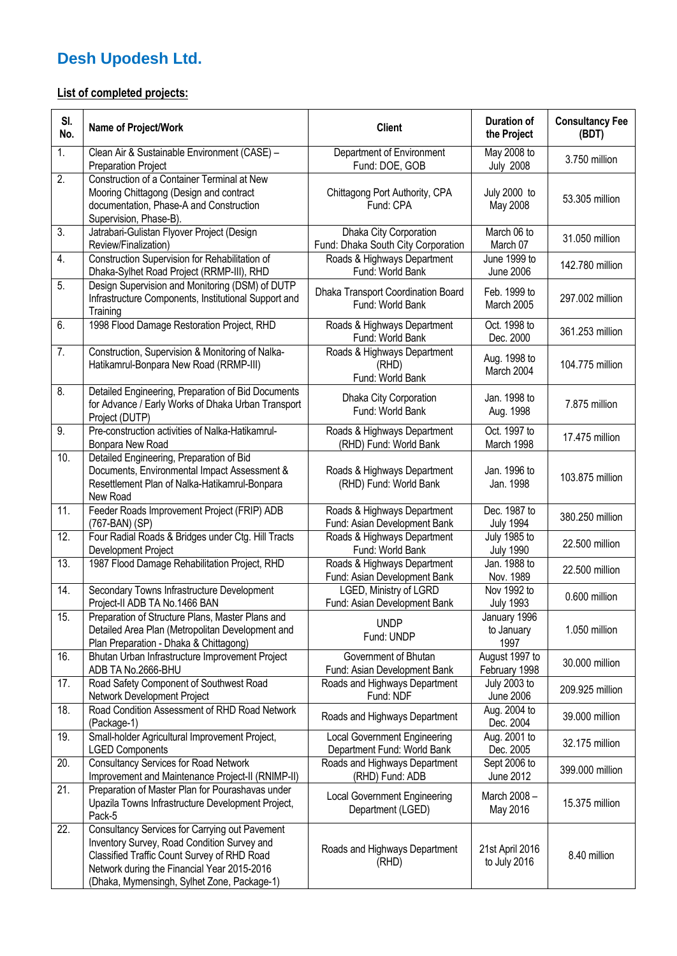## **Desh Upodesh Ltd.**

## **List of completed projects:**

| SI.<br>No. | <b>Name of Project/Work</b>                                                                                                                                                                                                                | <b>Client</b>                                                      | Duration of<br>the Project              | <b>Consultancy Fee</b><br>(BDT) |
|------------|--------------------------------------------------------------------------------------------------------------------------------------------------------------------------------------------------------------------------------------------|--------------------------------------------------------------------|-----------------------------------------|---------------------------------|
| 1.         | Clean Air & Sustainable Environment (CASE) -<br><b>Preparation Project</b>                                                                                                                                                                 | Department of Environment<br>Fund: DOE, GOB                        | May 2008 to<br><b>July 2008</b>         | 3.750 million                   |
| 2.         | Construction of a Container Terminal at New<br>Mooring Chittagong (Design and contract<br>documentation, Phase-A and Construction<br>Supervision, Phase-B).                                                                                | Chittagong Port Authority, CPA<br>Fund: CPA                        | July 2000 to<br>May 2008                | 53.305 million                  |
| 3.         | Jatrabari-Gulistan Flyover Project (Design<br>Review/Finalization)                                                                                                                                                                         | Dhaka City Corporation<br>Fund: Dhaka South City Corporation       | March 06 to<br>March 07                 | 31.050 million                  |
| 4.         | Construction Supervision for Rehabilitation of<br>Dhaka-Sylhet Road Project (RRMP-III), RHD                                                                                                                                                | Roads & Highways Department<br>Fund: World Bank                    | June 1999 to<br><b>June 2006</b>        | 142.780 million                 |
| 5.         | Design Supervision and Monitoring (DSM) of DUTP<br>Infrastructure Components, Institutional Support and<br>Training                                                                                                                        | Dhaka Transport Coordination Board<br>Fund: World Bank             | Feb. 1999 to<br>March 2005              | 297.002 million                 |
| 6.         | 1998 Flood Damage Restoration Project, RHD                                                                                                                                                                                                 | Roads & Highways Department<br>Fund: World Bank                    | Oct. 1998 to<br>Dec. 2000               | 361.253 million                 |
| 7.         | Construction, Supervision & Monitoring of Nalka-<br>Hatikamrul-Bonpara New Road (RRMP-III)                                                                                                                                                 | Roads & Highways Department<br>(RHD)<br>Fund: World Bank           | Aug. 1998 to<br>March 2004              | 104.775 million                 |
| 8.         | Detailed Engineering, Preparation of Bid Documents<br>for Advance / Early Works of Dhaka Urban Transport<br>Project (DUTP)                                                                                                                 | Dhaka City Corporation<br>Fund: World Bank                         | Jan. 1998 to<br>Aug. 1998               | 7.875 million                   |
| 9.         | Pre-construction activities of Nalka-Hatikamrul-<br>Bonpara New Road                                                                                                                                                                       | Roads & Highways Department<br>(RHD) Fund: World Bank              | Oct. 1997 to<br>March 1998              | 17.475 million                  |
| 10.        | Detailed Engineering, Preparation of Bid<br>Documents, Environmental Impact Assessment &<br>Resettlement Plan of Nalka-Hatikamrul-Bonpara<br>New Road                                                                                      | Roads & Highways Department<br>(RHD) Fund: World Bank              | Jan. 1996 to<br>Jan. 1998               | 103.875 million                 |
| 11.        | Feeder Roads Improvement Project (FRIP) ADB<br>(767-BAN) (SP)                                                                                                                                                                              | Roads & Highways Department<br>Fund: Asian Development Bank        | Dec. 1987 to<br><b>July 1994</b>        | 380.250 million                 |
| 12.        | Four Radial Roads & Bridges under Ctg. Hill Tracts<br>Development Project                                                                                                                                                                  | Roads & Highways Department<br>Fund: World Bank                    | <b>July 1985 to</b><br><b>July 1990</b> | 22.500 million                  |
| 13.        | 1987 Flood Damage Rehabilitation Project, RHD                                                                                                                                                                                              | Roads & Highways Department<br>Fund: Asian Development Bank        | Jan. 1988 to<br>Nov. 1989               | 22.500 million                  |
| 14.        | Secondary Towns Infrastructure Development<br>Project-II ADB TA No.1466 BAN                                                                                                                                                                | LGED, Ministry of LGRD<br>Fund: Asian Development Bank             | Nov 1992 to<br><b>July 1993</b>         | 0.600 million                   |
| 15.        | Preparation of Structure Plans, Master Plans and<br>Detailed Area Plan (Metropolitan Development and<br>Plan Preparation - Dhaka & Chittagong)                                                                                             | <b>UNDP</b><br>Fund: UNDP                                          | January 1996<br>to January<br>1997      | 1.050 million                   |
| 16.        | Bhutan Urban Infrastructure Improvement Project<br>ADB TA No.2666-BHU                                                                                                                                                                      | Government of Bhutan<br>Fund: Asian Development Bank               | August 1997 to<br>February 1998         | 30.000 million                  |
| 17.        | Road Safety Component of Southwest Road<br>Network Development Project                                                                                                                                                                     | Roads and Highways Department<br>Fund: NDF                         | <b>July 2003 to</b><br><b>June 2006</b> | 209.925 million                 |
| 18.        | Road Condition Assessment of RHD Road Network<br>(Package-1)                                                                                                                                                                               | Roads and Highways Department                                      | Aug. 2004 to<br>Dec. 2004               | 39.000 million                  |
| 19.        | Small-holder Agricultural Improvement Project,<br><b>LGED Components</b>                                                                                                                                                                   | <b>Local Government Engineering</b><br>Department Fund: World Bank | Aug. 2001 to<br>Dec. 2005               | 32.175 million                  |
| 20.        | <b>Consultancy Services for Road Network</b><br>Improvement and Maintenance Project-II (RNIMP-II)                                                                                                                                          | Roads and Highways Department<br>(RHD) Fund: ADB                   | Sept 2006 to<br>June 2012               | 399.000 million                 |
| 21.        | Preparation of Master Plan for Pourashavas under<br>Upazila Towns Infrastructure Development Project,<br>Pack-5                                                                                                                            | <b>Local Government Engineering</b><br>Department (LGED)           | March 2008 -<br>May 2016                | 15.375 million                  |
| 22.        | Consultancy Services for Carrying out Pavement<br>Inventory Survey, Road Condition Survey and<br>Classified Traffic Count Survey of RHD Road<br>Network during the Financial Year 2015-2016<br>(Dhaka, Mymensingh, Sylhet Zone, Package-1) | Roads and Highways Department<br>(RHD)                             | 21st April 2016<br>to July 2016         | 8.40 million                    |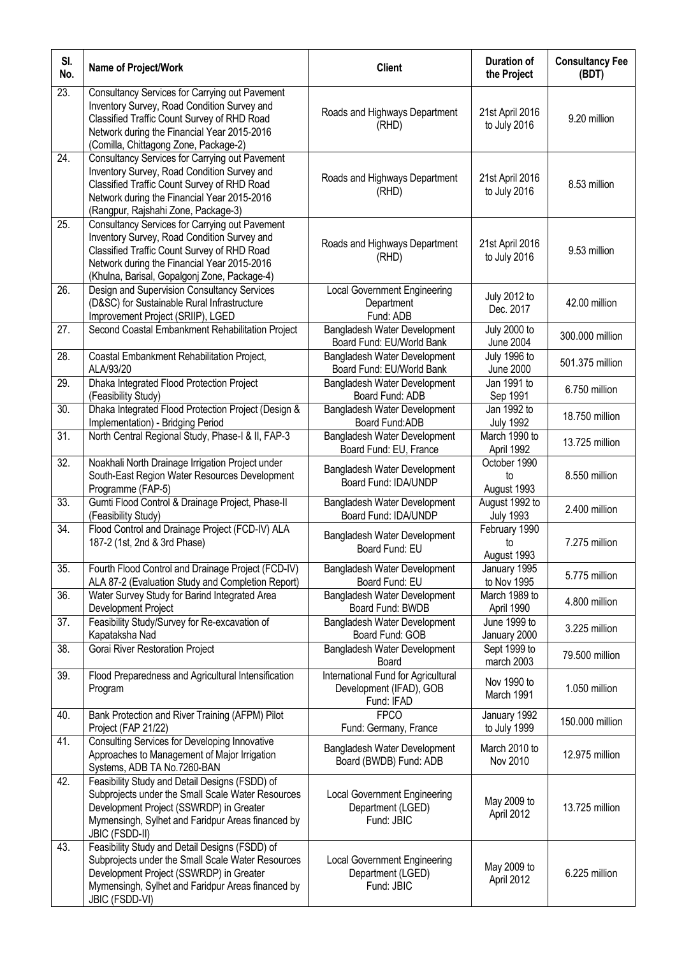| SI.<br>No.        | Name of Project/Work                                                                                                                                                                                                                        | <b>Client</b>                                                                | <b>Duration of</b><br>the Project       | <b>Consultancy Fee</b><br>(BDT) |
|-------------------|---------------------------------------------------------------------------------------------------------------------------------------------------------------------------------------------------------------------------------------------|------------------------------------------------------------------------------|-----------------------------------------|---------------------------------|
| $\overline{23}$ . | Consultancy Services for Carrying out Pavement<br>Inventory Survey, Road Condition Survey and<br>Classified Traffic Count Survey of RHD Road<br>Network during the Financial Year 2015-2016<br>(Comilla, Chittagong Zone, Package-2)        | Roads and Highways Department<br>(RHD)                                       | 21st April 2016<br>to July 2016         | 9.20 million                    |
| 24.               | Consultancy Services for Carrying out Pavement<br>Inventory Survey, Road Condition Survey and<br>Classified Traffic Count Survey of RHD Road<br>Network during the Financial Year 2015-2016<br>(Rangpur, Rajshahi Zone, Package-3)          | Roads and Highways Department<br>(RHD)                                       | 21st April 2016<br>to July 2016         | 8.53 million                    |
| 25.               | Consultancy Services for Carrying out Pavement<br>Inventory Survey, Road Condition Survey and<br>Classified Traffic Count Survey of RHD Road<br>Network during the Financial Year 2015-2016<br>(Khulna, Barisal, Gopalgonj Zone, Package-4) | Roads and Highways Department<br>(RHD)                                       | 21st April 2016<br>to July 2016         | 9.53 million                    |
| 26.               | Design and Supervision Consultancy Services<br>(D&SC) for Sustainable Rural Infrastructure<br>Improvement Project (SRIIP), LGED                                                                                                             | <b>Local Government Engineering</b><br>Department<br>Fund: ADB               | <b>July 2012 to</b><br>Dec. 2017        | 42.00 million                   |
| 27.               | Second Coastal Embankment Rehabilitation Project                                                                                                                                                                                            | Bangladesh Water Development<br>Board Fund: EU/World Bank                    | <b>July 2000 to</b><br><b>June 2004</b> | 300.000 million                 |
| 28.               | Coastal Embankment Rehabilitation Project,<br>ALA/93/20                                                                                                                                                                                     | Bangladesh Water Development<br>Board Fund: EU/World Bank                    | July 1996 to<br><b>June 2000</b>        | 501.375 million                 |
| 29.               | Dhaka Integrated Flood Protection Project<br>(Feasibility Study)                                                                                                                                                                            | Bangladesh Water Development<br>Board Fund: ADB                              | Jan 1991 to<br>Sep 1991                 | 6.750 million                   |
| 30.               | Dhaka Integrated Flood Protection Project (Design &<br>Implementation) - Bridging Period                                                                                                                                                    | Bangladesh Water Development<br>Board Fund: ADB                              | Jan 1992 to<br><b>July 1992</b>         | 18.750 million                  |
| 31.               | North Central Regional Study, Phase-I & II, FAP-3                                                                                                                                                                                           | Bangladesh Water Development<br>Board Fund: EU, France                       | March 1990 to<br>April 1992             | 13.725 million                  |
| 32.               | Noakhali North Drainage Irrigation Project under<br>South-East Region Water Resources Development<br>Programme (FAP-5)                                                                                                                      | Bangladesh Water Development<br>Board Fund: IDA/UNDP                         | October 1990<br>to<br>August 1993       | 8.550 million                   |
| $\overline{33}$ . | Gumti Flood Control & Drainage Project, Phase-II<br>(Feasibility Study)                                                                                                                                                                     | Bangladesh Water Development<br>Board Fund: IDA/UNDP                         | August 1992 to<br><b>July 1993</b>      | 2.400 million                   |
| 34.               | Flood Control and Drainage Project (FCD-IV) ALA<br>187-2 (1st, 2nd & 3rd Phase)                                                                                                                                                             | Bangladesh Water Development<br>Board Fund: EU                               | February 1990<br>to<br>August 1993      | 7.275 million                   |
| $\overline{35}$ . | Fourth Flood Control and Drainage Project (FCD-IV)<br>ALA 87-2 (Evaluation Study and Completion Report)                                                                                                                                     | Bangladesh Water Development<br>Board Fund: EU                               | January 1995<br>to Nov 1995             | 5.775 million                   |
| 36.               | Water Survey Study for Barind Integrated Area<br>Development Project                                                                                                                                                                        | Bangladesh Water Development<br>Board Fund: BWDB                             | March 1989 to<br>April 1990             | 4.800 million                   |
| 37.               | Feasibility Study/Survey for Re-excavation of<br>Kapataksha Nad                                                                                                                                                                             | Bangladesh Water Development<br>Board Fund: GOB                              | June 1999 to<br>January 2000            | 3.225 million                   |
| 38.               | Gorai River Restoration Project                                                                                                                                                                                                             | Bangladesh Water Development<br>Board                                        | Sept 1999 to<br>march 2003              | 79.500 million                  |
| 39.               | Flood Preparedness and Agricultural Intensification<br>Program                                                                                                                                                                              | International Fund for Agricultural<br>Development (IFAD), GOB<br>Fund: IFAD | Nov 1990 to<br>March 1991               | 1.050 million                   |
| 40.               | Bank Protection and River Training (AFPM) Pilot<br>Project (FAP 21/22)                                                                                                                                                                      | <b>FPCO</b><br>Fund: Germany, France                                         | January 1992<br>to July 1999            | 150.000 million                 |
| 41.               | Consulting Services for Developing Innovative<br>Approaches to Management of Major Irrigation<br>Systems, ADB TA No.7260-BAN                                                                                                                | Bangladesh Water Development<br>Board (BWDB) Fund: ADB                       | March 2010 to<br>Nov 2010               | 12.975 million                  |
| 42.               | Feasibility Study and Detail Designs (FSDD) of<br>Subprojects under the Small Scale Water Resources<br>Development Project (SSWRDP) in Greater<br>Mymensingh, Sylhet and Faridpur Areas financed by<br><b>JBIC (FSDD-II)</b>                | <b>Local Government Engineering</b><br>Department (LGED)<br>Fund: JBIC       | May 2009 to<br>April 2012               | 13.725 million                  |
| 43.               | Feasibility Study and Detail Designs (FSDD) of<br>Subprojects under the Small Scale Water Resources<br>Development Project (SSWRDP) in Greater<br>Mymensingh, Sylhet and Faridpur Areas financed by<br>JBIC (FSDD-VI)                       | <b>Local Government Engineering</b><br>Department (LGED)<br>Fund: JBIC       | May 2009 to<br>April 2012               | 6.225 million                   |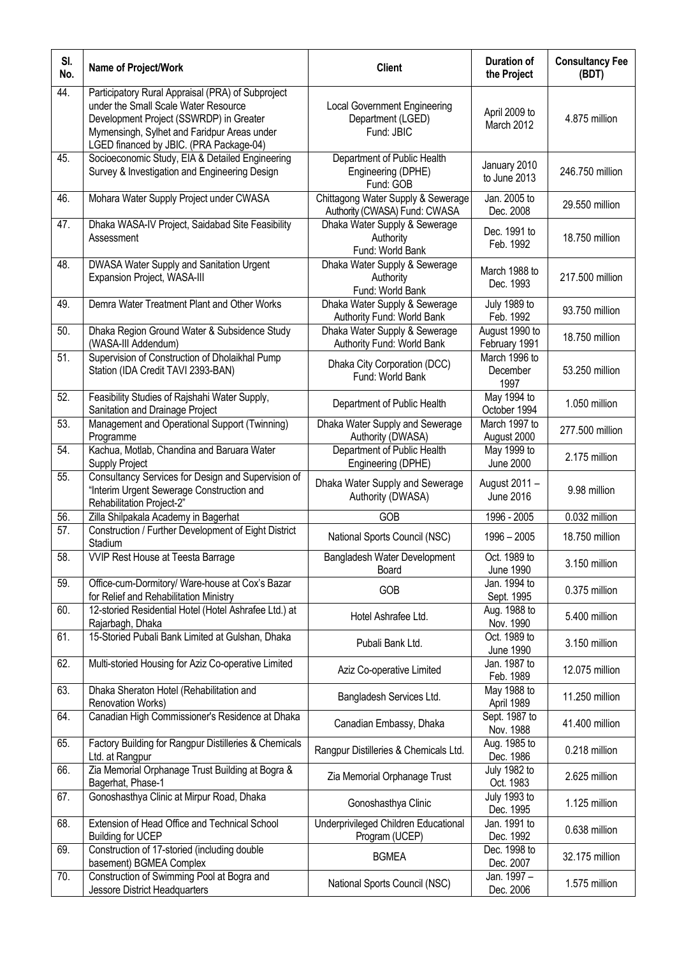| SI.<br>No. | Name of Project/Work                                                                                                                                                                                                           | <b>Client</b>                                                          | <b>Duration of</b><br>the Project | <b>Consultancy Fee</b><br>(BDT) |
|------------|--------------------------------------------------------------------------------------------------------------------------------------------------------------------------------------------------------------------------------|------------------------------------------------------------------------|-----------------------------------|---------------------------------|
| 44.        | Participatory Rural Appraisal (PRA) of Subproject<br>under the Small Scale Water Resource<br>Development Project (SSWRDP) in Greater<br>Mymensingh, Sylhet and Faridpur Areas under<br>LGED financed by JBIC. (PRA Package-04) | <b>Local Government Engineering</b><br>Department (LGED)<br>Fund: JBIC | April 2009 to<br>March 2012       | 4.875 million                   |
| 45.        | Socioeconomic Study, EIA & Detailed Engineering<br>Survey & Investigation and Engineering Design                                                                                                                               | Department of Public Health<br>Engineering (DPHE)<br>Fund: GOB         | January 2010<br>to June 2013      | 246.750 million                 |
| 46.        | Mohara Water Supply Project under CWASA                                                                                                                                                                                        | Chittagong Water Supply & Sewerage<br>Authority (CWASA) Fund: CWASA    | Jan. 2005 to<br>Dec. 2008         | 29.550 million                  |
| 47.        | Dhaka WASA-IV Project, Saidabad Site Feasibility<br>Assessment                                                                                                                                                                 | Dhaka Water Supply & Sewerage<br>Authority<br>Fund: World Bank         | Dec. 1991 to<br>Feb. 1992         | 18.750 million                  |
| 48.        | DWASA Water Supply and Sanitation Urgent<br>Expansion Project, WASA-III                                                                                                                                                        | Dhaka Water Supply & Sewerage<br>Authority<br>Fund: World Bank         | March 1988 to<br>Dec. 1993        | 217.500 million                 |
| 49.        | Demra Water Treatment Plant and Other Works                                                                                                                                                                                    | Dhaka Water Supply & Sewerage<br>Authority Fund: World Bank            | July 1989 to<br>Feb. 1992         | 93.750 million                  |
| 50.        | Dhaka Region Ground Water & Subsidence Study<br>(WASA-III Addendum)                                                                                                                                                            | Dhaka Water Supply & Sewerage<br>Authority Fund: World Bank            | August 1990 to<br>February 1991   | 18.750 million                  |
| 51.        | Supervision of Construction of Dholaikhal Pump<br>Station (IDA Credit TAVI 2393-BAN)                                                                                                                                           | Dhaka City Corporation (DCC)<br>Fund: World Bank                       | March 1996 to<br>December<br>1997 | 53.250 million                  |
| 52.        | Feasibility Studies of Rajshahi Water Supply,<br>Sanitation and Drainage Project                                                                                                                                               | Department of Public Health                                            | May 1994 to<br>October 1994       | 1.050 million                   |
| 53.        | Management and Operational Support (Twinning)<br>Programme                                                                                                                                                                     | Dhaka Water Supply and Sewerage<br>Authority (DWASA)                   | March 1997 to<br>August 2000      | 277.500 million                 |
| 54.        | Kachua, Motlab, Chandina and Baruara Water<br><b>Supply Project</b>                                                                                                                                                            | Department of Public Health<br>Engineering (DPHE)                      | May 1999 to<br><b>June 2000</b>   | 2.175 million                   |
| 55.        | Consultancy Services for Design and Supervision of<br>"Interim Urgent Sewerage Construction and<br>Rehabilitation Project-2"                                                                                                   | Dhaka Water Supply and Sewerage<br>Authority (DWASA)                   | August 2011 -<br><b>June 2016</b> | 9.98 million                    |
| 56.        | Zilla Shilpakala Academy in Bagerhat                                                                                                                                                                                           | GOB                                                                    | 1996 - 2005                       | 0.032 million                   |
| 57.        | Construction / Further Development of Eight District<br>Stadium                                                                                                                                                                | National Sports Council (NSC)                                          | $1996 - 2005$                     | 18.750 million                  |
| 58.        | <b>VVIP Rest House at Teesta Barrage</b>                                                                                                                                                                                       | Bangladesh Water Development<br>Board                                  | Oct. 1989 to<br><b>June 1990</b>  | 3.150 million                   |
| 59.        | Office-cum-Dormitory/ Ware-house at Cox's Bazar<br>for Relief and Rehabilitation Ministry                                                                                                                                      | GOB                                                                    | Jan. 1994 to<br>Sept. 1995        | 0.375 million                   |
| 60.        | 12-storied Residential Hotel (Hotel Ashrafee Ltd.) at<br>Rajarbagh, Dhaka                                                                                                                                                      | Hotel Ashrafee Ltd.                                                    | Aug. 1988 to<br>Nov. 1990         | 5.400 million                   |
| 61.        | 15-Storied Pubali Bank Limited at Gulshan, Dhaka                                                                                                                                                                               | Pubali Bank Ltd.                                                       | Oct. 1989 to<br><b>June 1990</b>  | 3.150 million                   |
| 62.        | Multi-storied Housing for Aziz Co-operative Limited                                                                                                                                                                            | Aziz Co-operative Limited                                              | Jan. 1987 to<br>Feb. 1989         | 12.075 million                  |
| 63.        | Dhaka Sheraton Hotel (Rehabilitation and<br>Renovation Works)                                                                                                                                                                  | Bangladesh Services Ltd.                                               | May 1988 to<br>April 1989         | 11.250 million                  |
| 64.        | Canadian High Commissioner's Residence at Dhaka                                                                                                                                                                                | Canadian Embassy, Dhaka                                                | Sept. 1987 to<br>Nov. 1988        | 41.400 million                  |
| 65.        | Factory Building for Rangpur Distilleries & Chemicals<br>Ltd. at Rangpur                                                                                                                                                       | Rangpur Distilleries & Chemicals Ltd.                                  | Aug. 1985 to<br>Dec. 1986         | 0.218 million                   |
| 66.        | Zia Memorial Orphanage Trust Building at Bogra &<br>Bagerhat, Phase-1                                                                                                                                                          | Zia Memorial Orphanage Trust                                           | July 1982 to<br>Oct. 1983         | 2.625 million                   |
| 67.        | Gonoshasthya Clinic at Mirpur Road, Dhaka                                                                                                                                                                                      | Gonoshasthya Clinic                                                    | July 1993 to<br>Dec. 1995         | 1.125 million                   |
| 68.        | Extension of Head Office and Technical School<br><b>Building for UCEP</b>                                                                                                                                                      | Underprivileged Children Educational<br>Program (UCEP)                 | Jan. 1991 to<br>Dec. 1992         | 0.638 million                   |
| 69.        | Construction of 17-storied (including double<br>basement) BGMEA Complex                                                                                                                                                        | <b>BGMEA</b>                                                           | Dec. 1998 to<br>Dec. 2007         | 32.175 million                  |
| 70.        | Construction of Swimming Pool at Bogra and<br>Jessore District Headquarters                                                                                                                                                    | National Sports Council (NSC)                                          | Jan. 1997 -<br>Dec. 2006          | 1.575 million                   |